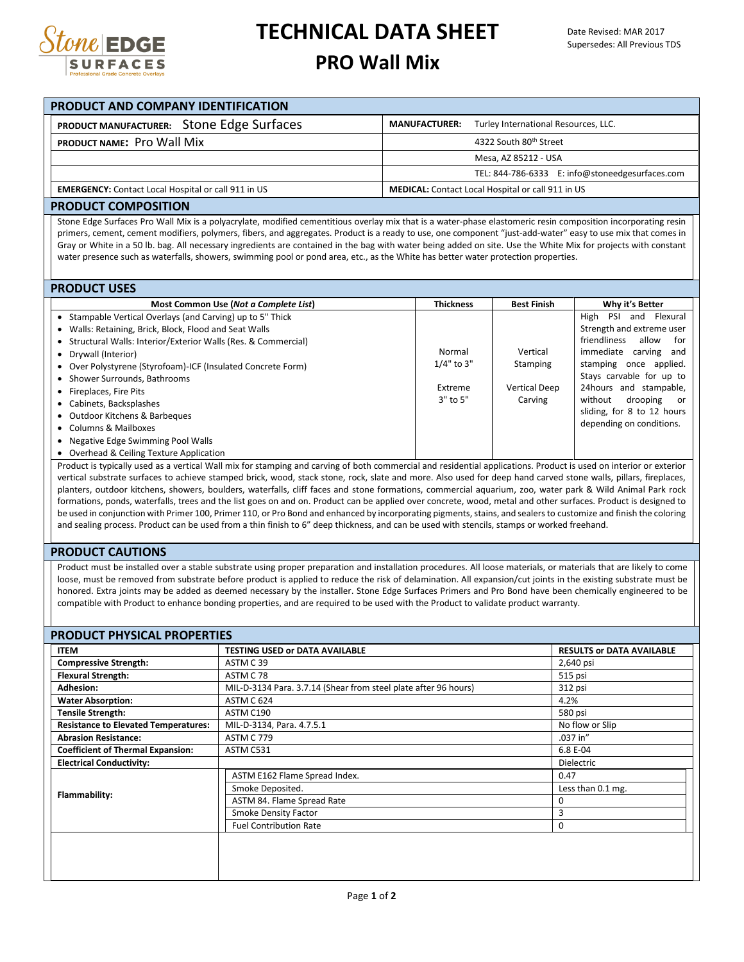

## **TECHNICAL DATA SHEET**

### **PRO Wall Mix**

| PRODUCT AND COMPANY IDENTIFICATION                         |                                                              |  |  |  |  |  |  |  |
|------------------------------------------------------------|--------------------------------------------------------------|--|--|--|--|--|--|--|
| PRODUCT MANUFACTURER: Stone Edge Surfaces                  | Turley International Resources, LLC.<br><b>MANUFACTURER:</b> |  |  |  |  |  |  |  |
| PRODUCT NAME: Pro Wall Mix                                 | 4322 South 80th Street                                       |  |  |  |  |  |  |  |
|                                                            | Mesa, AZ 85212 - USA                                         |  |  |  |  |  |  |  |
|                                                            | TEL: 844-786-6333 E: info@stoneedgesurfaces.com              |  |  |  |  |  |  |  |
| <b>EMERGENCY:</b> Contact Local Hospital or call 911 in US | <b>MEDICAL:</b> Contact Local Hospital or call 911 in US     |  |  |  |  |  |  |  |
| <u> 88881185 8881588151811</u>                             |                                                              |  |  |  |  |  |  |  |

#### **PRODUCT COMPOSITION**

Stone Edge Surfaces Pro Wall Mix is a polyacrylate, modified cementitious overlay mix that is a water-phase elastomeric resin composition incorporating resin primers, cement, cement modifiers, polymers, fibers, and aggregates. Product is a ready to use, one component "just-add-water" easy to use mix that comes in Gray or White in a 50 lb. bag. All necessary ingredients are contained in the bag with water being added on site. Use the White Mix for projects with constant water presence such as waterfalls, showers, swimming pool or pond area, etc., as the White has better water protection properties.

#### **PRODUCT USES**

| Most Common Use (Not a Complete List)                           | <b>Thickness</b> | <b>Best Finish</b>   | Why it's Better                |
|-----------------------------------------------------------------|------------------|----------------------|--------------------------------|
| • Stampable Vertical Overlays (and Carving) up to 5" Thick      |                  |                      | PSI<br>High<br>Flexural<br>and |
| • Walls: Retaining, Brick, Block, Flood and Seat Walls          |                  |                      | Strength and extreme user      |
| • Structural Walls: Interior/Exterior Walls (Res. & Commercial) |                  |                      | friendliness<br>allow<br>for   |
| • Drywall (Interior)                                            | Normal           | Vertical             | immediate carving and          |
| • Over Polystyrene (Styrofoam)-ICF (Insulated Concrete Form)    | $1/4"$ to 3"     | Stamping             | stamping once applied.         |
| • Shower Surrounds, Bathrooms                                   |                  |                      | Stays carvable for up to       |
| • Fireplaces, Fire Pits                                         | Extreme          | <b>Vertical Deep</b> | 24hours and stampable,         |
| • Cabinets, Backsplashes                                        | $3"$ to $5"$     | Carving              | without<br>drooping<br>. or    |
| • Outdoor Kitchens & Barbeques                                  |                  |                      | sliding, for 8 to 12 hours     |
| • Columns & Mailboxes                                           |                  |                      | depending on conditions.       |
| • Negative Edge Swimming Pool Walls                             |                  |                      |                                |
|                                                                 |                  |                      |                                |

Overhead & Ceiling Texture Application

Product is typically used as a vertical Wall mix for stamping and carving of both commercial and residential applications. Product is used on interior or exterior vertical substrate surfaces to achieve stamped brick, wood, stack stone, rock, slate and more. Also used for deep hand carved stone walls, pillars, fireplaces, planters, outdoor kitchens, showers, boulders, waterfalls, cliff faces and stone formations, commercial aquarium, zoo, water park & Wild Animal Park rock formations, ponds, waterfalls, trees and the list goes on and on. Product can be applied over concrete, wood, metal and other surfaces. Product is designed to be used in conjunction with Primer 100, Primer 110, or Pro Bond and enhanced by incorporating pigments, stains, and sealers to customize and finish the coloring and sealing process. Product can be used from a thin finish to 6" deep thickness, and can be used with stencils, stamps or worked freehand.

#### **PRODUCT CAUTIONS**

Product must be installed over a stable substrate using proper preparation and installation procedures. All loose materials, or materials that are likely to come loose, must be removed from substrate before product is applied to reduce the risk of delamination. All expansion/cut joints in the existing substrate must be honored. Extra joints may be added as deemed necessary by the installer. Stone Edge Surfaces Primers and Pro Bond have been chemically engineered to be compatible with Product to enhance bonding properties, and are required to be used with the Product to validate product warranty.

| <b>Compressive Strength:</b>                | ASTM C39                                                        | 2,640 psi         |  |  |  |  |
|---------------------------------------------|-----------------------------------------------------------------|-------------------|--|--|--|--|
|                                             |                                                                 |                   |  |  |  |  |
| <b>Flexural Strength:</b>                   | ASTM C 78                                                       | 515 psi           |  |  |  |  |
| <b>Adhesion:</b>                            | MIL-D-3134 Para. 3.7.14 (Shear from steel plate after 96 hours) | 312 psi           |  |  |  |  |
| <b>Water Absorption:</b>                    | ASTM C 624                                                      | 4.2%              |  |  |  |  |
| <b>Tensile Strength:</b>                    | ASTM C190                                                       | 580 psi           |  |  |  |  |
| <b>Resistance to Elevated Temperatures:</b> | MIL-D-3134, Para. 4.7.5.1                                       | No flow or Slip   |  |  |  |  |
| <b>Abrasion Resistance:</b>                 | <b>ASTM C 779</b>                                               | .037 in"          |  |  |  |  |
| <b>Coefficient of Thermal Expansion:</b>    | ASTM C531                                                       | 6.8 E-04          |  |  |  |  |
| <b>Electrical Conductivity:</b>             |                                                                 | <b>Dielectric</b> |  |  |  |  |
|                                             | ASTM E162 Flame Spread Index.                                   | 0.47              |  |  |  |  |
|                                             | Smoke Deposited.                                                | Less than 0.1 mg. |  |  |  |  |
| Flammability:                               | ASTM 84. Flame Spread Rate                                      | 0                 |  |  |  |  |
|                                             | Smoke Density Factor                                            | 3                 |  |  |  |  |
|                                             | <b>Fuel Contribution Rate</b>                                   | $\mathbf 0$       |  |  |  |  |